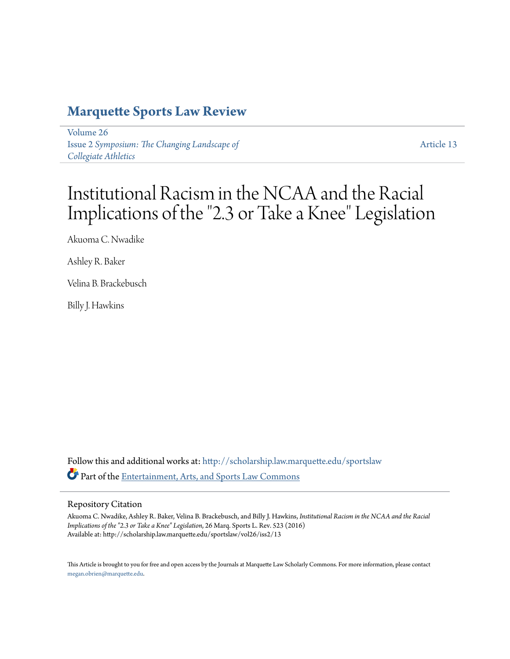# **[Marquette Sports Law Review](http://scholarship.law.marquette.edu/sportslaw?utm_source=scholarship.law.marquette.edu%2Fsportslaw%2Fvol26%2Fiss2%2F13&utm_medium=PDF&utm_campaign=PDFCoverPages)**

[Volume 26](http://scholarship.law.marquette.edu/sportslaw/vol26?utm_source=scholarship.law.marquette.edu%2Fsportslaw%2Fvol26%2Fiss2%2F13&utm_medium=PDF&utm_campaign=PDFCoverPages) Issue 2 *[Symposium: The Changing Landscape of](http://scholarship.law.marquette.edu/sportslaw/vol26/iss2?utm_source=scholarship.law.marquette.edu%2Fsportslaw%2Fvol26%2Fiss2%2F13&utm_medium=PDF&utm_campaign=PDFCoverPages) [Collegiate Athletics](http://scholarship.law.marquette.edu/sportslaw/vol26/iss2?utm_source=scholarship.law.marquette.edu%2Fsportslaw%2Fvol26%2Fiss2%2F13&utm_medium=PDF&utm_campaign=PDFCoverPages)*

[Article 13](http://scholarship.law.marquette.edu/sportslaw/vol26/iss2/13?utm_source=scholarship.law.marquette.edu%2Fsportslaw%2Fvol26%2Fiss2%2F13&utm_medium=PDF&utm_campaign=PDFCoverPages)

# Institutional Racism in the NCAA and the Racial Implications of the "2.3 or Take a Knee" Legislation

Akuoma C. Nwadike

Ashley R. Baker

Velina B. Brackebusch

Billy J. Hawkins

Follow this and additional works at: [http://scholarship.law.marquette.edu/sportslaw](http://scholarship.law.marquette.edu/sportslaw?utm_source=scholarship.law.marquette.edu%2Fsportslaw%2Fvol26%2Fiss2%2F13&utm_medium=PDF&utm_campaign=PDFCoverPages) Part of the [Entertainment, Arts, and Sports Law Commons](http://network.bepress.com/hgg/discipline/893?utm_source=scholarship.law.marquette.edu%2Fsportslaw%2Fvol26%2Fiss2%2F13&utm_medium=PDF&utm_campaign=PDFCoverPages)

## Repository Citation

Akuoma C. Nwadike, Ashley R. Baker, Velina B. Brackebusch, and Billy J. Hawkins, *Institutional Racism in the NCAA and the Racial Implications of the "2.3 or Take a Knee" Legislation*, 26 Marq. Sports L. Rev. 523 (2016) Available at: http://scholarship.law.marquette.edu/sportslaw/vol26/iss2/13

This Article is brought to you for free and open access by the Journals at Marquette Law Scholarly Commons. For more information, please contact [megan.obrien@marquette.edu.](mailto:megan.obrien@marquette.edu)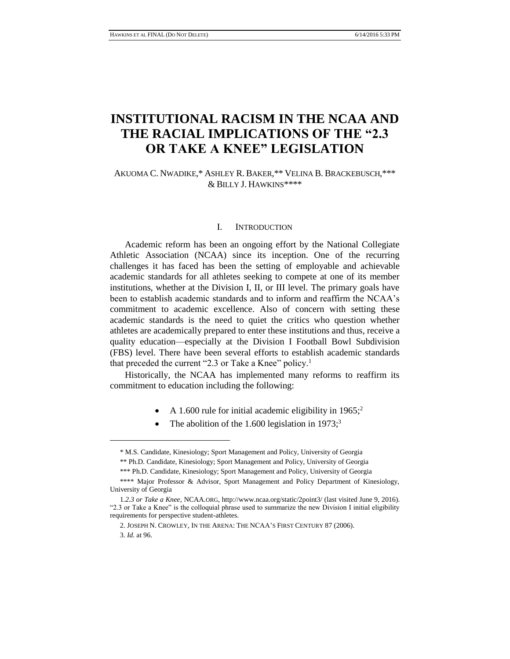# **INSTITUTIONAL RACISM IN THE NCAA AND THE RACIAL IMPLICATIONS OF THE "2.3 OR TAKE A KNEE" LEGISLATION**

## AKUOMA C. NWADIKE,\* ASHLEY R. BAKER,\*\* VELINA B. BRACKEBUSCH,\*\*\* & BILLY J. HAWKINS\*\*\*\*

#### I. INTRODUCTION

Academic reform has been an ongoing effort by the National Collegiate Athletic Association (NCAA) since its inception. One of the recurring challenges it has faced has been the setting of employable and achievable academic standards for all athletes seeking to compete at one of its member institutions, whether at the Division I, II, or III level. The primary goals have been to establish academic standards and to inform and reaffirm the NCAA's commitment to academic excellence. Also of concern with setting these academic standards is the need to quiet the critics who question whether athletes are academically prepared to enter these institutions and thus, receive a quality education—especially at the Division I Football Bowl Subdivision (FBS) level. There have been several efforts to establish academic standards that preceded the current "2.3 or Take a Knee" policy.<sup>1</sup>

Historically, the NCAA has implemented many reforms to reaffirm its commitment to education including the following:

- A 1.600 rule for initial academic eligibility in  $1965$ ;
- The abolition of the 1.600 legislation in 1973;<sup>3</sup>

<sup>\*</sup> M.S. Candidate, Kinesiology; Sport Management and Policy, University of Georgia

<sup>\*\*</sup> Ph.D. Candidate, Kinesiology; Sport Management and Policy, University of Georgia

<sup>\*\*\*</sup> Ph.D. Candidate, Kinesiology; Sport Management and Policy, University of Georgia

<sup>\*\*\*\*</sup> Major Professor & Advisor, Sport Management and Policy Department of Kinesiology, University of Georgia

<sup>1</sup>*.2.3 or Take a Knee*, NCAA.ORG, http://www.ncaa.org/static/2point3/ (last visited June 9, 2016). "2.3 or Take a Knee" is the colloquial phrase used to summarize the new Division I initial eligibility requirements for perspective student-athletes.

<sup>2.</sup> JOSEPH N. CROWLEY, IN THE ARENA: THE NCAA'S FIRST CENTURY 87 (2006).

<sup>3.</sup> *Id.* at 96.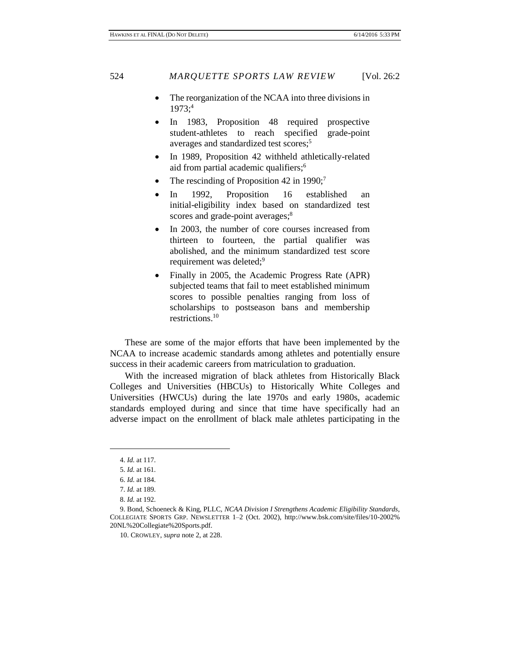- The reorganization of the NCAA into three divisions in 1973; 4
- In 1983, Proposition 48 required prospective student-athletes to reach specified grade-point averages and standardized test scores; 5
- In 1989, Proposition 42 withheld athletically-related aid from partial academic qualifiers; 6
- The rescinding of Proposition 42 in 1990;<sup>7</sup>
- In 1992, Proposition 16 established an initial-eligibility index based on standardized test scores and grade-point averages;<sup>8</sup>
- In 2003, the number of core courses increased from thirteen to fourteen, the partial qualifier was abolished, and the minimum standardized test score requirement was deleted;<sup>9</sup>
- Finally in 2005, the Academic Progress Rate (APR) subjected teams that fail to meet established minimum scores to possible penalties ranging from loss of scholarships to postseason bans and membership restrictions. 10

These are some of the major efforts that have been implemented by the NCAA to increase academic standards among athletes and potentially ensure success in their academic careers from matriculation to graduation.

With the increased migration of black athletes from Historically Black Colleges and Universities (HBCUs) to Historically White Colleges and Universities (HWCUs) during the late 1970s and early 1980s, academic standards employed during and since that time have specifically had an adverse impact on the enrollment of black male athletes participating in the

<sup>4.</sup> *Id.* at 117.

<sup>5.</sup> *Id.* at 161.

<sup>6.</sup> *Id.* at 184.

<sup>7.</sup> *Id.* at 189.

<sup>8.</sup> *Id.* at 192.

<sup>9.</sup> Bond, Schoeneck & King, PLLC, *NCAA Division I Strengthens Academic Eligibility Standards*, COLLEGIATE SPORTS GRP. NEWSLETTER 1–2 (Oct. 2002), http://www.bsk.com/site/files/10-2002% 20NL%20Collegiate%20Sports.pdf.

<sup>10.</sup> CROWLEY, *supra* note 2, at 228.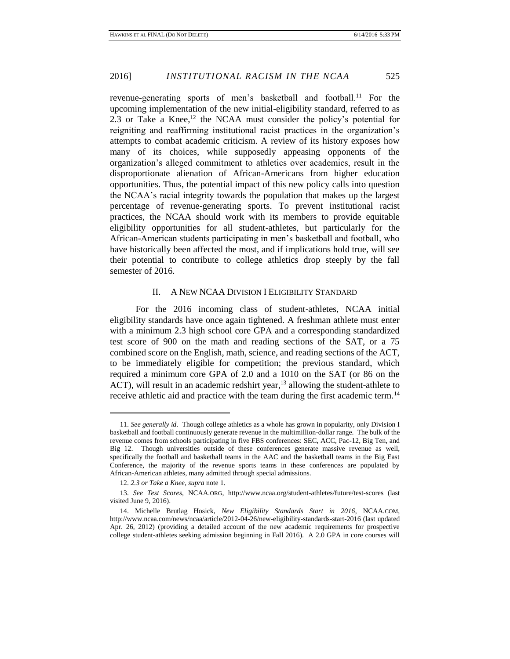revenue-generating sports of men's basketball and football.<sup>11</sup> For the upcoming implementation of the new initial-eligibility standard, referred to as 2.3 or Take a Knee, $^{12}$  the NCAA must consider the policy's potential for reigniting and reaffirming institutional racist practices in the organization's attempts to combat academic criticism. A review of its history exposes how many of its choices, while supposedly appeasing opponents of the organization's alleged commitment to athletics over academics, result in the disproportionate alienation of African-Americans from higher education opportunities. Thus, the potential impact of this new policy calls into question the NCAA's racial integrity towards the population that makes up the largest percentage of revenue-generating sports. To prevent institutional racist practices, the NCAA should work with its members to provide equitable eligibility opportunities for all student-athletes, but particularly for the African-American students participating in men's basketball and football, who have historically been affected the most, and if implications hold true, will see their potential to contribute to college athletics drop steeply by the fall semester of 2016.

#### II. A NEW NCAA DIVISION I ELIGIBILITY STANDARD

For the 2016 incoming class of student-athletes, NCAA initial eligibility standards have once again tightened. A freshman athlete must enter with a minimum 2.3 high school core GPA and a corresponding standardized test score of 900 on the math and reading sections of the SAT, or a 75 combined score on the English, math, science, and reading sections of the ACT, to be immediately eligible for competition; the previous standard, which required a minimum core GPA of 2.0 and a 1010 on the SAT (or 86 on the ACT), will result in an academic redshirt year,<sup>13</sup> allowing the student-athlete to receive athletic aid and practice with the team during the first academic term.<sup>14</sup>

<sup>11.</sup> *See generally id.* Though college athletics as a whole has grown in popularity, only Division I basketball and football continuously generate revenue in the multimillion-dollar range. The bulk of the revenue comes from schools participating in five FBS conferences: SEC, ACC, Pac-12, Big Ten, and Big 12. Though universities outside of these conferences generate massive revenue as well, specifically the football and basketball teams in the AAC and the basketball teams in the Big East Conference, the majority of the revenue sports teams in these conferences are populated by African-American athletes, many admitted through special admissions.

<sup>12.</sup> *2.3 or Take a Knee*, *supra* note 1.

<sup>13.</sup> *See Test Scores*, NCAA.ORG, http://www.ncaa.org/student-athletes/future/test-scores (last visited June 9, 2016).

<sup>14.</sup> Michelle Brutlag Hosick, *New Eligibility Standards Start in 2016*, NCAA.COM, http://www.ncaa.com/news/ncaa/article/2012-04-26/new-eligibility-standards-start-2016 (last updated Apr. 26, 2012) (providing a detailed account of the new academic requirements for prospective college student-athletes seeking admission beginning in Fall 2016). A 2.0 GPA in core courses will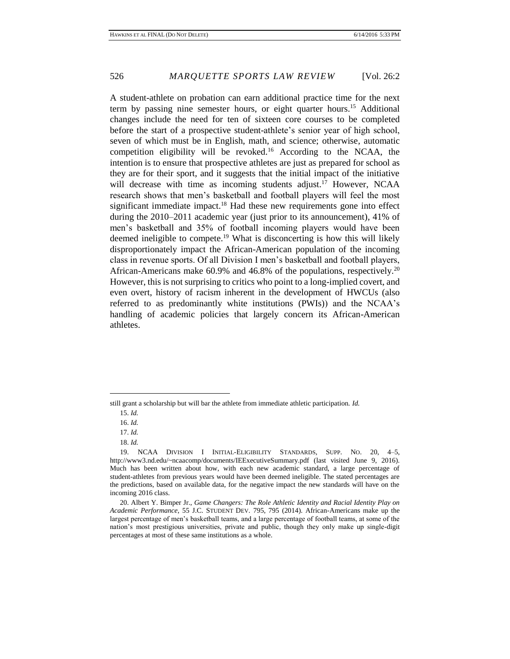A student-athlete on probation can earn additional practice time for the next term by passing nine semester hours, or eight quarter hours.<sup>15</sup> Additional changes include the need for ten of sixteen core courses to be completed before the start of a prospective student-athlete's senior year of high school, seven of which must be in English, math, and science; otherwise, automatic competition eligibility will be revoked.<sup>16</sup> According to the NCAA, the intention is to ensure that prospective athletes are just as prepared for school as they are for their sport, and it suggests that the initial impact of the initiative will decrease with time as incoming students adjust.<sup>17</sup> However, NCAA research shows that men's basketball and football players will feel the most significant immediate impact.<sup>18</sup> Had these new requirements gone into effect during the 2010–2011 academic year (just prior to its announcement), 41% of men's basketball and 35% of football incoming players would have been deemed ineligible to compete.<sup>19</sup> What is disconcerting is how this will likely disproportionately impact the African-American population of the incoming class in revenue sports. Of all Division I men's basketball and football players, African-Americans make 60.9% and 46.8% of the populations, respectively.<sup>20</sup> However, this is not surprising to critics who point to a long-implied covert, and even overt, history of racism inherent in the development of HWCUs (also referred to as predominantly white institutions (PWIs)) and the NCAA's handling of academic policies that largely concern its African-American athletes.

 $\overline{a}$ 

18. *Id.*

still grant a scholarship but will bar the athlete from immediate athletic participation. *Id.*

<sup>15.</sup> *Id.*

<sup>16.</sup> *Id.*

<sup>17.</sup> *Id.*

<sup>19.</sup> NCAA DIVISION I INITIAL-ELIGIBILITY STANDARDS, SUPP. NO. 20, 4–5, http://www3.nd.edu/~ncaacomp/documents/IEExecutiveSummary.pdf (last visited June 9, 2016). Much has been written about how, with each new academic standard, a large percentage of student-athletes from previous years would have been deemed ineligible. The stated percentages are the predictions, based on available data, for the negative impact the new standards will have on the incoming 2016 class.

<sup>20.</sup> Albert Y. Bimper Jr., *Game Changers: The Role Athletic Identity and Racial Identity Play on Academic Performance*, 55 J.C. STUDENT DEV. 795, 795 (2014). African-Americans make up the largest percentage of men's basketball teams, and a large percentage of football teams, at some of the nation's most prestigious universities, private and public, though they only make up single-digit percentages at most of these same institutions as a whole.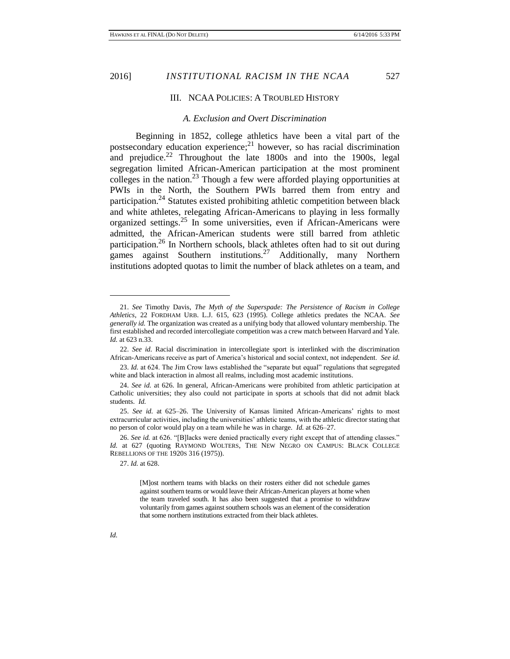III. NCAA POLICIES: A TROUBLED HISTORY

#### *A. Exclusion and Overt Discrimination*

Beginning in 1852, college athletics have been a vital part of the postsecondary education experience; <sup>21</sup> however, so has racial discrimination and prejudice. $22$  Throughout the late 1800s and into the 1900s, legal segregation limited African-American participation at the most prominent colleges in the nation.<sup>23</sup> Though a few were afforded playing opportunities at PWIs in the North, the Southern PWIs barred them from entry and participation.<sup>24</sup> Statutes existed prohibiting athletic competition between black and white athletes, relegating African-Americans to playing in less formally organized settings.<sup>25</sup> In some universities, even if African-Americans were admitted, the African-American students were still barred from athletic participation.<sup>26</sup> In Northern schools, black athletes often had to sit out during games against Southern institutions.<sup>27</sup> Additionally, many Northern institutions adopted quotas to limit the number of black athletes on a team, and

23. *Id.* at 624. The Jim Crow laws established the "separate but equal" regulations that segregated white and black interaction in almost all realms, including most academic institutions.

27. *Id.* at 628.

[M]ost northern teams with blacks on their rosters either did not schedule games against southern teams or would leave their African-American players at home when the team traveled south. It has also been suggested that a promise to withdraw voluntarily from games against southern schools was an element of the consideration that some northern institutions extracted from their black athletes.

*Id.*

<sup>21.</sup> *See* Timothy Davis, *The Myth of the Superspade: The Persistence of Racism in College Athletics*, 22 FORDHAM URB. L.J. 615, 623 (1995). College athletics predates the NCAA. *See generally id.* The organization was created as a unifying body that allowed voluntary membership. The first established and recorded intercollegiate competition was a crew match between Harvard and Yale. *Id.* at 623 n.33.

<sup>22.</sup> *See id.* Racial discrimination in intercollegiate sport is interlinked with the discrimination African-Americans receive as part of America's historical and social context, not independent. *See id.*

<sup>24.</sup> *See id.* at 626. In general, African-Americans were prohibited from athletic participation at Catholic universities; they also could not participate in sports at schools that did not admit black students. *Id.*

<sup>25.</sup> *See id.* at 625–26. The University of Kansas limited African-Americans' rights to most extracurricular activities, including the universities' athletic teams, with the athletic director stating that no person of color would play on a team while he was in charge. *Id.* at 626–27.

<sup>26.</sup> *See id.* at 626. "[B]lacks were denied practically every right except that of attending classes." *Id.* at 627 (quoting RAYMOND WOLTERS, THE NEW NEGRO ON CAMPUS: BLACK COLLEGE REBELLIONS OF THE 1920S 316 (1975)).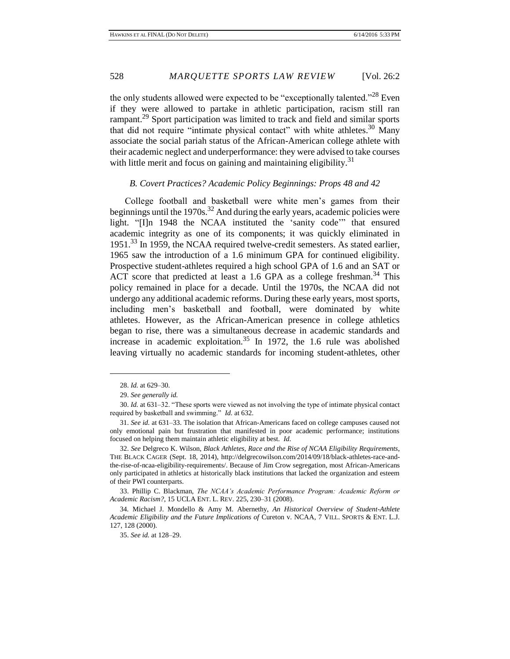the only students allowed were expected to be "exceptionally talented."<sup>28</sup> Even if they were allowed to partake in athletic participation, racism still ran rampant.<sup>29</sup> Sport participation was limited to track and field and similar sports that did not require "intimate physical contact" with white athletes.<sup>30</sup> Many associate the social pariah status of the African-American college athlete with their academic neglect and underperformance: they were advised to take courses with little merit and focus on gaining and maintaining eligibility.<sup>31</sup>

#### *B. Covert Practices? Academic Policy Beginnings: Props 48 and 42*

College football and basketball were white men's games from their beginnings until the 1970s.<sup>32</sup> And during the early years, academic policies were light. "[I]n 1948 the NCAA instituted the 'sanity code'" that ensured academic integrity as one of its components; it was quickly eliminated in 1951.<sup>33</sup> In 1959, the NCAA required twelve-credit semesters. As stated earlier, 1965 saw the introduction of a 1.6 minimum GPA for continued eligibility. Prospective student-athletes required a high school GPA of 1.6 and an SAT or ACT score that predicted at least a 1.6 GPA as a college freshman.<sup>34</sup> This policy remained in place for a decade. Until the 1970s, the NCAA did not undergo any additional academic reforms. During these early years, most sports, including men's basketball and football, were dominated by white athletes. However, as the African-American presence in college athletics began to rise, there was a simultaneous decrease in academic standards and increase in academic exploitation.<sup>35</sup> In 1972, the 1.6 rule was abolished leaving virtually no academic standards for incoming student-athletes, other

<sup>28.</sup> *Id.* at 629–30.

<sup>29.</sup> *See generally id.*

<sup>30.</sup> *Id.* at 631–32. "These sports were viewed as not involving the type of intimate physical contact required by basketball and swimming." *Id.* at 632.

<sup>31.</sup> *See id.* at 631–33. The isolation that African-Americans faced on college campuses caused not only emotional pain but frustration that manifested in poor academic performance; institutions focused on helping them maintain athletic eligibility at best. *Id.*

<sup>32.</sup> *See* Delgreco K. Wilson, *Black Athletes, Race and the Rise of NCAA Eligibility Requirements*, THE BLACK CAGER (Sept. 18, 2014), http://delgrecowilson.com/2014/09/18/black-athletes-race-andthe-rise-of-ncaa-eligibility-requirements/. Because of Jim Crow segregation, most African-Americans only participated in athletics at historically black institutions that lacked the organization and esteem of their PWI counterparts.

<sup>33.</sup> Phillip C. Blackman, *The NCAA's Academic Performance Program: Academic Reform or Academic Racism?*, 15 UCLA ENT. L. REV. 225, 230–31 (2008).

<sup>34</sup>*.* Michael J. Mondello & Amy M. Abernethy, *An Historical Overview of Student-Athlete Academic Eligibility and the Future Implications of* Cureton v. NCAA, 7 VILL. SPORTS & ENT. L.J. 127, 128 (2000).

<sup>35.</sup> *See id.* at 128–29.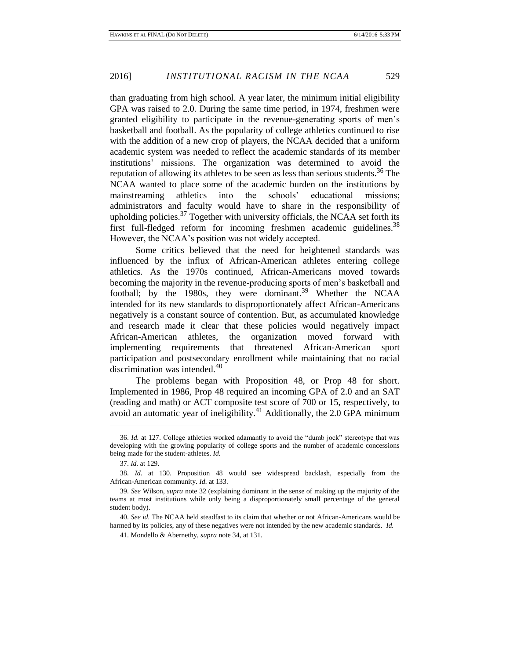than graduating from high school. A year later, the minimum initial eligibility GPA was raised to 2.0. During the same time period, in 1974, freshmen were granted eligibility to participate in the revenue-generating sports of men's basketball and football. As the popularity of college athletics continued to rise with the addition of a new crop of players, the NCAA decided that a uniform academic system was needed to reflect the academic standards of its member institutions' missions. The organization was determined to avoid the reputation of allowing its athletes to be seen as less than serious students.<sup>36</sup> The NCAA wanted to place some of the academic burden on the institutions by mainstreaming athletics into the schools' educational missions; administrators and faculty would have to share in the responsibility of upholding policies. $37$  Together with university officials, the NCAA set forth its first full-fledged reform for incoming freshmen academic guidelines.<sup>38</sup> However, the NCAA's position was not widely accepted.

Some critics believed that the need for heightened standards was influenced by the influx of African-American athletes entering college athletics. As the 1970s continued, African-Americans moved towards becoming the majority in the revenue-producing sports of men's basketball and football; by the 1980s, they were dominant.<sup>39</sup> Whether the NCAA intended for its new standards to disproportionately affect African-Americans negatively is a constant source of contention. But, as accumulated knowledge and research made it clear that these policies would negatively impact African-American athletes, the organization moved forward with implementing requirements that threatened African-American sport participation and postsecondary enrollment while maintaining that no racial discrimination was intended.<sup>40</sup>

The problems began with Proposition 48, or Prop 48 for short. Implemented in 1986, Prop 48 required an incoming GPA of 2.0 and an SAT (reading and math) or ACT composite test score of 700 or 15, respectively, to avoid an automatic year of ineligibility.<sup>41</sup> Additionally, the 2.0 GPA minimum

<sup>36.</sup> *Id.* at 127. College athletics worked adamantly to avoid the "dumb jock" stereotype that was developing with the growing popularity of college sports and the number of academic concessions being made for the student-athletes. *Id.*

<sup>37.</sup> *Id.* at 129.

<sup>38.</sup> *Id.* at 130. Proposition 48 would see widespread backlash, especially from the African-American community. *Id.* at 133.

<sup>39.</sup> *See* Wilson, *supra* note 32 (explaining dominant in the sense of making up the majority of the teams at most institutions while only being a disproportionately small percentage of the general student body).

<sup>40.</sup> *See id.* The NCAA held steadfast to its claim that whether or not African-Americans would be harmed by its policies, any of these negatives were not intended by the new academic standards*. Id.*

<sup>41.</sup> Mondello & Abernethy, *supra* note 34, at 131.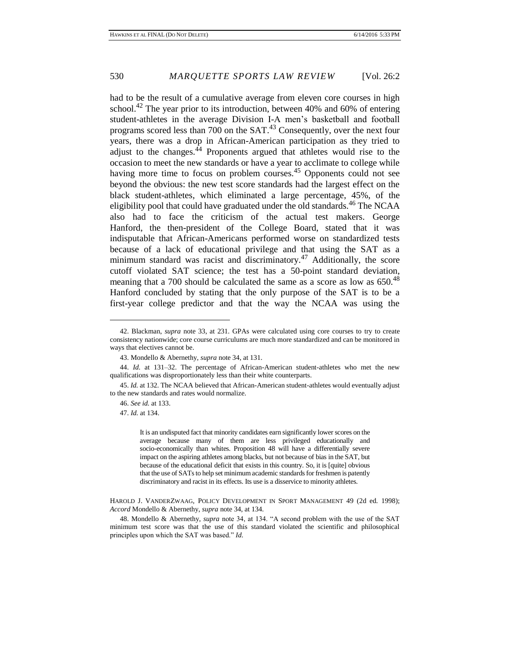had to be the result of a cumulative average from eleven core courses in high school.<sup>42</sup> The year prior to its introduction, between 40% and 60% of entering student-athletes in the average Division I-A men's basketball and football programs scored less than 700 on the  $SAT<sup>43</sup>$  Consequently, over the next four years, there was a drop in African-American participation as they tried to adjust to the changes. $44$  Proponents argued that athletes would rise to the occasion to meet the new standards or have a year to acclimate to college while having more time to focus on problem courses.<sup>45</sup> Opponents could not see beyond the obvious: the new test score standards had the largest effect on the black student-athletes, which eliminated a large percentage, 45%, of the eligibility pool that could have graduated under the old standards.<sup>46</sup> The NCAA also had to face the criticism of the actual test makers. George Hanford, the then-president of the College Board, stated that it was indisputable that African-Americans performed worse on standardized tests because of a lack of educational privilege and that using the SAT as a minimum standard was racist and discriminatory.<sup>47</sup> Additionally, the score cutoff violated SAT science; the test has a 50-point standard deviation, meaning that a 700 should be calculated the same as a score as low as  $650^{48}$ Hanford concluded by stating that the only purpose of the SAT is to be a first-year college predictor and that the way the NCAA was using the

It is an undisputed fact that minority candidates earn significantly lower scores on the average because many of them are less privileged educationally and socio-economically than whites. Proposition 48 will have a differentially severe impact on the aspiring athletes among blacks, but not because of bias in the SAT, but because of the educational deficit that exists in this country. So, it is [quite] obvious that the use of SATs to help set minimum academic standards for freshmen is patently discriminatory and racist in its effects. Its use is a disservice to minority athletes.

HAROLD J. VANDERZWAAG, POLICY DEVELOPMENT IN SPORT MANAGEMENT 49 (2d ed. 1998); *Accord* Mondello & Abernethy, *supra* note 34, at 134.

48. Mondello & Abernethy, *supra* note 34, at 134. "A second problem with the use of the SAT minimum test score was that the use of this standard violated the scientific and philosophical principles upon which the SAT was based." *Id.*

<sup>42.</sup> Blackman, *supra* note 33, at 231. GPAs were calculated using core courses to try to create consistency nationwide; core course curriculums are much more standardized and can be monitored in ways that electives cannot be.

<sup>43.</sup> Mondello & Abernethy, *supra* note 34, at 131.

<sup>44.</sup> *Id.* at 131–32. The percentage of African-American student-athletes who met the new qualifications was disproportionately less than their white counterparts.

<sup>45.</sup> *Id.* at 132. The NCAA believed that African-American student-athletes would eventually adjust to the new standards and rates would normalize.

<sup>46.</sup> *See id.* at 133.

<sup>47.</sup> *Id.* at 134.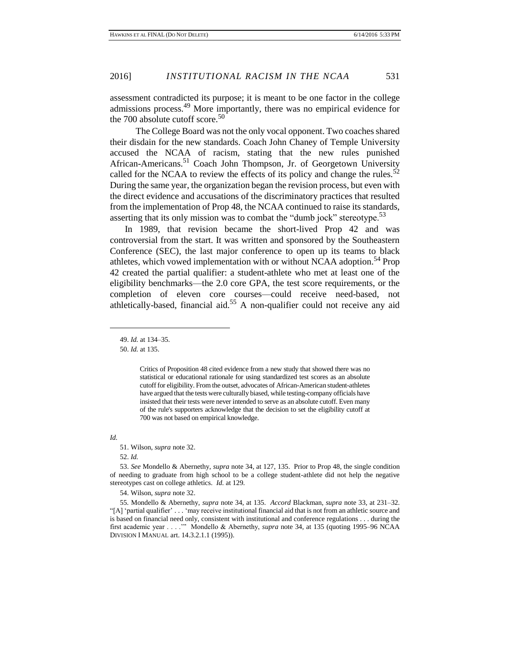assessment contradicted its purpose; it is meant to be one factor in the college admissions process.<sup>49</sup> More importantly, there was no empirical evidence for the 700 absolute cutoff score.<sup>50</sup>

The College Board was not the only vocal opponent. Two coaches shared their disdain for the new standards. Coach John Chaney of Temple University accused the NCAA of racism, stating that the new rules punished African-Americans.<sup>51</sup> Coach John Thompson, Jr. of Georgetown University called for the NCAA to review the effects of its policy and change the rules.<sup>52</sup> During the same year, the organization began the revision process, but even with the direct evidence and accusations of the discriminatory practices that resulted from the implementation of Prop 48, the NCAA continued to raise its standards, asserting that its only mission was to combat the "dumb jock" stereotype.<sup>53</sup>

In 1989, that revision became the short-lived Prop 42 and was controversial from the start. It was written and sponsored by the Southeastern Conference (SEC), the last major conference to open up its teams to black athletes, which vowed implementation with or without NCAA adoption.<sup>54</sup> Prop 42 created the partial qualifier: a student-athlete who met at least one of the eligibility benchmarks—the 2.0 core GPA, the test score requirements, or the completion of eleven core courses—could receive need-based, not athletically-based, financial aid.<sup>55</sup> A non-qualifier could not receive any aid

49. *Id.* at 134–35.

50. *Id.* at 135.

#### *Id.*

51. Wilson, *supra* note 32.

52. *Id.*

53. *See* Mondello & Abernethy, *supra* note 34, at 127, 135. Prior to Prop 48, the single condition of needing to graduate from high school to be a college student-athlete did not help the negative stereotypes cast on college athletics. *Id.* at 129.

54. Wilson, *supra* note 32.

Critics of Proposition 48 cited evidence from a new study that showed there was no statistical or educational rationale for using standardized test scores as an absolute cutoff for eligibility. From the outset, advocates of African-American student-athletes have argued that the tests were culturally biased, while testing-company officials have insisted that their tests were never intended to serve as an absolute cutoff. Even many of the rule's supporters acknowledge that the decision to set the eligibility cutoff at 700 was not based on empirical knowledge.

<sup>55</sup>*.* Mondello & Abernethy, *supra* note 34, at 135. *Accord* Blackman, *supra* note 33, at 231–32. "[A] 'partial qualifier' . . . 'may receive institutional financial aid that is not from an athletic source and is based on financial need only, consistent with institutional and conference regulations . . . during the first academic year . . . .'" Mondello & Abernethy, *supra* note 34, at 135 (quoting 1995–96 NCAA DIVISION I MANUAL art. 14.3.2.1.1 (1995)).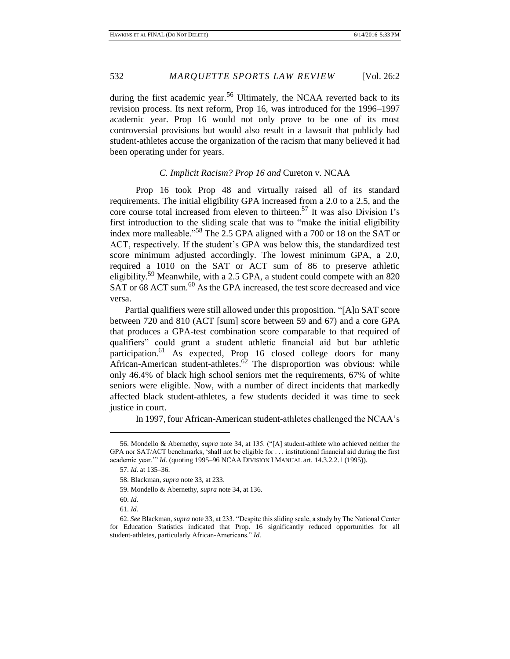during the first academic year.<sup>56</sup> Ultimately, the NCAA reverted back to its revision process. Its next reform, Prop 16, was introduced for the 1996–1997 academic year. Prop 16 would not only prove to be one of its most controversial provisions but would also result in a lawsuit that publicly had student-athletes accuse the organization of the racism that many believed it had been operating under for years.

### *C. Implicit Racism? Prop 16 and* Cureton v. NCAA

Prop 16 took Prop 48 and virtually raised all of its standard requirements. The initial eligibility GPA increased from a 2.0 to a 2.5, and the core course total increased from eleven to thirteen. <sup>57</sup> It was also Division I's first introduction to the sliding scale that was to "make the initial eligibility index more malleable."<sup>58</sup> The 2.5 GPA aligned with a 700 or 18 on the SAT or ACT, respectively. If the student's GPA was below this, the standardized test score minimum adjusted accordingly. The lowest minimum GPA, a 2.0, required a 1010 on the SAT or ACT sum of 86 to preserve athletic eligibility.<sup>59</sup> Meanwhile, with a 2.5 GPA, a student could compete with an 820 SAT or 68 ACT sum.<sup>60</sup> As the GPA increased, the test score decreased and vice versa.

Partial qualifiers were still allowed under this proposition. "[A]n SAT score between 720 and 810 (ACT [sum] score between 59 and 67) and a core GPA that produces a GPA-test combination score comparable to that required of qualifiers" could grant a student athletic financial aid but bar athletic participation.<sup>61</sup> As expected, Prop 16 closed college doors for many African-American student-athletes. $62$  The disproportion was obvious: while only 46.4% of black high school seniors met the requirements, 67% of white seniors were eligible. Now, with a number of direct incidents that markedly affected black student-athletes, a few students decided it was time to seek justice in court.

In 1997, four African-American student-athletes challenged the NCAA's

<sup>56.</sup> Mondello & Abernethy, *supra* note 34, at 135. ("[A] student-athlete who achieved neither the GPA nor SAT/ACT benchmarks, 'shall not be eligible for . . . institutional financial aid during the first academic year.'" *Id.* (quoting 1995–96 NCAA DIVISION I MANUAL art. 14.3.2.2.1 (1995)).

<sup>57.</sup> *Id.* at 135–36.

<sup>58.</sup> Blackman, *supra* note 33, at 233.

<sup>59.</sup> Mondello & Abernethy, *supra* note 34, at 136.

<sup>60.</sup> *Id.*

<sup>61.</sup> *Id.*

<sup>62.</sup> *See* Blackman, *supra* note 33, at 233. "Despite this sliding scale, a study by The National Center for Education Statistics indicated that Prop. 16 significantly reduced opportunities for all student-athletes, particularly African-Americans." *Id.*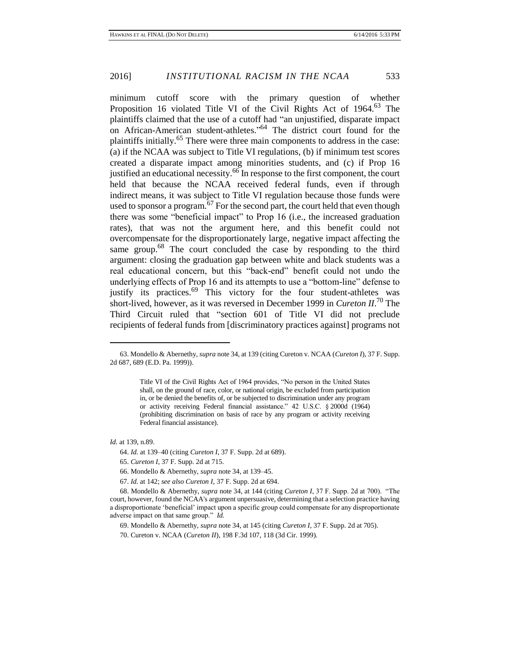minimum cutoff score with the primary question of whether Proposition 16 violated Title VI of the Civil Rights Act of 1964.<sup>63</sup> The plaintiffs claimed that the use of a cutoff had "an unjustified, disparate impact on African-American student-athletes." <sup>64</sup> The district court found for the plaintiffs initially.<sup>65</sup> There were three main components to address in the case: (a) if the NCAA was subject to Title VI regulations, (b) if minimum test scores created a disparate impact among minorities students, and (c) if Prop 16 justified an educational necessity.<sup>66</sup> In response to the first component, the court held that because the NCAA received federal funds, even if through indirect means, it was subject to Title VI regulation because those funds were used to sponsor a program.<sup>67</sup> For the second part, the court held that even though there was some "beneficial impact" to Prop 16 (i.e., the increased graduation rates), that was not the argument here, and this benefit could not overcompensate for the disproportionately large, negative impact affecting the same group.<sup>68</sup> The court concluded the case by responding to the third argument: closing the graduation gap between white and black students was a real educational concern, but this "back-end" benefit could not undo the underlying effects of Prop 16 and its attempts to use a "bottom-line" defense to justify its practices.<sup>69</sup> This victory for the four student-athletes was short-lived, however, as it was reversed in December 1999 in *Cureton II*. <sup>70</sup> The Third Circuit ruled that "section 601 of Title VI did not preclude recipients of federal funds from [discriminatory practices against] programs not

*Id.* at 139, n.89.

64. *Id.* at 139–40 (citing *Cureton I*, 37 F. Supp. 2d at 689).

65. *Cureton I*, 37 F. Supp. 2d at 715.

66. Mondello & Abernethy, *supra* note 34, at 139–45.

67. *Id.* at 142; *see also Cureton I*, 37 F. Supp. 2d at 694.

68. Mondello & Abernethy, *supra* note 34, at 144 (citing *Cureton I*, 37 F. Supp. 2d at 700). "The court, however, found the NCAA's argument unpersuasive, determining that a selection practice having a disproportionate 'beneficial' impact upon a specific group could compensate for any disproportionate adverse impact on that same group." *Id.*

69. Mondello & Abernethy, *supra* note 34, at 145 (citing *Cureton I*, 37 F. Supp. 2d at 705).

70. Cureton v. NCAA (*Cureton II*), 198 F.3d 107, 118 (3d Cir. 1999).

<sup>63.</sup> Mondello & Abernethy, *supra* note 34, at 139 (citing Cureton v. NCAA (*Cureton I*), 37 F. Supp. 2d 687, 689 (E.D. Pa. 1999)).

Title VI of the Civil Rights Act of 1964 provides, "No person in the United States shall, on the ground of race, color, or national origin, be excluded from participation in, or be denied the benefits of, or be subjected to discrimination under any program or activity receiving Federal financial assistance." 42 U.S.C. § 2000d (1964) (prohibiting discrimination on basis of race by any program or activity receiving Federal financial assistance).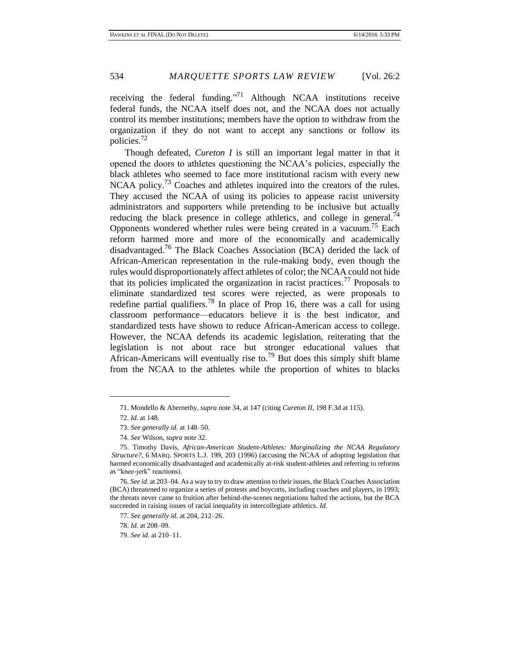receiving the federal funding.<sup>"71</sup> Although NCAA institutions receive federal funds, the NCAA itself does not, and the NCAA does not actually control its member institutions; members have the option to withdraw from the organization if they do not want to accept any sanctions or follow its policies. $^{72}$ 

Though defeated, *Cureton I* is still an important legal matter in that it opened the doors to athletes questioning the NCAA's policies, especially the black athletes who seemed to face more institutional racism with every new NCAA policy.<sup>73</sup> Coaches and athletes inquired into the creators of the rules. They accused the NCAA of using its policies to appease racist university administrators and supporters while pretending to be inclusive but actually reducing the black presence in college athletics, and college in general.<sup>74</sup> Opponents wondered whether rules were being created in a vacuum.<sup>75</sup> Each reform harmed more and more of the economically and academically disadvantaged.<sup>76</sup> The Black Coaches Association (BCA) derided the lack of African-American representation in the rule-making body, even though the rules would disproportionately affect athletes of color; the NCAA could not hide that its policies implicated the organization in racist practices.<sup>77</sup> Proposals to eliminate standardized test scores were rejected, as were proposals to redefine partial qualifiers.<sup>78</sup> In place of Prop 16, there was a call for using classroom performance—educators believe it is the best indicator, and standardized tests have shown to reduce African-American access to college. However, the NCAA defends its academic legislation, reiterating that the legislation is not about race but stronger educational values that African-Americans will eventually rise to.<sup>79</sup> But does this simply shift blame from the NCAA to the athletes while the proportion of whites to blacks

<sup>71.</sup> Mondello & Abernethy, *supra* note 34, at 147 (citing *Cureton II*, 198 F.3d at 115).

<sup>72.</sup> *Id.* at 148.

<sup>73.</sup> *See generally id.* at 148–50.

<sup>74.</sup> *See* Wilson, *supra* note 32.

<sup>75.</sup> Timothy Davis, *African-American Student-Athletes: Marginalizing the NCAA Regulatory Structure?*, 6 MARQ. SPORTS L.J. 199, 203 (1996) (accusing the NCAA of adopting legislation that harmed economically disadvantaged and academically at-risk student-athletes and referring to reforms as "knee-jerk" reactions).

<sup>76.</sup> *See id.* at 203–04. As a way to try to draw attention to their issues, the Black Coaches Association (BCA) threatened to organize a series of protests and boycotts, including coaches and players, in 1993; the threats never came to fruition after behind-the-scenes negotiations halted the actions, but the BCA succeeded in raising issues of racial inequality in intercollegiate athletics. *Id.*

<sup>77.</sup> *See generally id.* at 204, 212–26.

<sup>78.</sup> *Id.* at 208–09.

<sup>79.</sup> *See id.* at 210–11.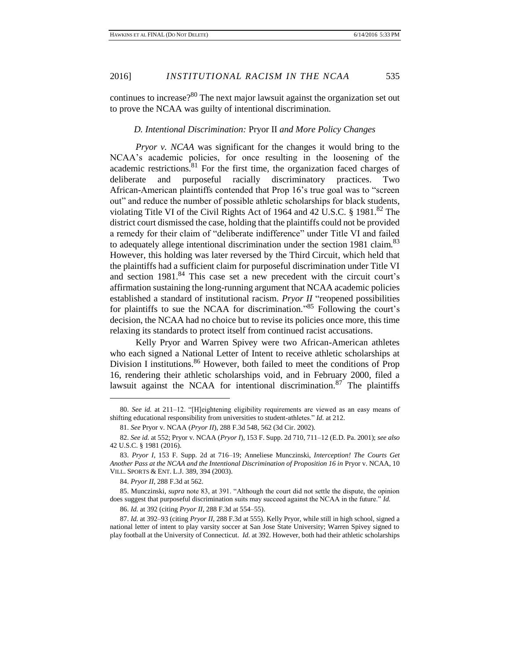continues to increase?<sup>80</sup> The next major lawsuit against the organization set out to prove the NCAA was guilty of intentional discrimination.

### *D. Intentional Discrimination:* Pryor II *and More Policy Changes*

*Pryor v. NCAA* was significant for the changes it would bring to the NCAA's academic policies, for once resulting in the loosening of the academic restrictions. $81$  For the first time, the organization faced charges of deliberate and purposeful racially discriminatory practices. Two African-American plaintiffs contended that Prop 16's true goal was to "screen out" and reduce the number of possible athletic scholarships for black students, violating Title VI of the Civil Rights Act of 1964 and 42 U.S.C.  $\S$  1981.<sup>82</sup> The district court dismissed the case, holding that the plaintiffs could not be provided a remedy for their claim of "deliberate indifference" under Title VI and failed to adequately allege intentional discrimination under the section 1981 claim.<sup>83</sup> However, this holding was later reversed by the Third Circuit, which held that the plaintiffs had a sufficient claim for purposeful discrimination under Title VI and section  $1981$ <sup>84</sup>. This case set a new precedent with the circuit court's affirmation sustaining the long-running argument that NCAA academic policies established a standard of institutional racism. *Pryor II* "reopened possibilities for plaintiffs to sue the NCAA for discrimination.<sup>85</sup> Following the court's decision, the NCAA had no choice but to revise its policies once more, this time relaxing its standards to protect itself from continued racist accusations.

Kelly Pryor and Warren Spivey were two African-American athletes who each signed a National Letter of Intent to receive athletic scholarships at Division I institutions.<sup>86</sup> However, both failed to meet the conditions of Prop 16, rendering their athletic scholarships void, and in February 2000, filed a lawsuit against the NCAA for intentional discrimination.<sup>87</sup> The plaintiffs

86. *Id.* at 392 (citing *Pryor II*, 288 F.3d at 554–55).

87. *Id.* at 392–93 (citing *Pryor II*, 288 F.3d at 555). Kelly Pryor, while still in high school, signed a national letter of intent to play varsity soccer at San Jose State University; Warren Spivey signed to play football at the University of Connecticut. *Id.* at 392. However, both had their athletic scholarships

<sup>80.</sup> *See id.* at 211–12. "[H]eightening eligibility requirements are viewed as an easy means of shifting educational responsibility from universities to student-athletes." *Id.* at 212.

<sup>81.</sup> *See* Pryor v. NCAA (*Pryor II*), 288 F.3d 548, 562 (3d Cir. 2002).

<sup>82.</sup> *See id.* at 552; Pryor v. NCAA (*Pryor I*), 153 F. Supp. 2d 710, 711–12 (E.D. Pa. 2001); *see also* 42 U.S.C. § 1981 (2016).

<sup>83.</sup> *Pryor I*, 153 F. Supp. 2d at 716–19; Anneliese Munczinski, *Interception! The Courts Get Another Pass at the NCAA and the Intentional Discrimination of Proposition 16 in* Pryor v. NCAA, 10 VILL. SPORTS & ENT. L.J. 389, 394 (2003).

<sup>84.</sup> *Pryor II*, 288 F.3d at 562.

<sup>85.</sup> Munczinski, *supra* note 83, at 391. "Although the court did not settle the dispute, the opinion does suggest that purposeful discrimination suits may succeed against the NCAA in the future." *Id.*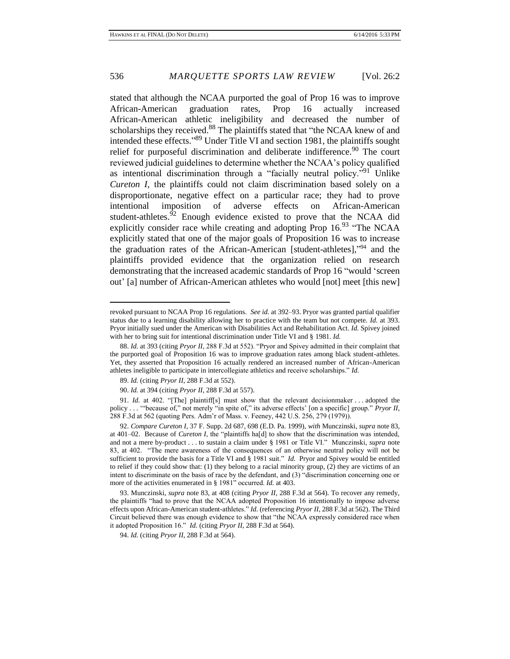stated that although the NCAA purported the goal of Prop 16 was to improve African-American graduation rates, Prop 16 actually increased African-American athletic ineligibility and decreased the number of scholarships they received.<sup>88</sup> The plaintiffs stated that "the NCAA knew of and intended these effects." <sup>89</sup> Under Title VI and section 1981, the plaintiffs sought relief for purposeful discrimination and deliberate indifference.<sup>90</sup> The court reviewed judicial guidelines to determine whether the NCAA's policy qualified as intentional discrimination through a "facially neutral policy."<sup>91</sup> Unlike *Cureton I*, the plaintiffs could not claim discrimination based solely on a disproportionate, negative effect on a particular race; they had to prove intentional imposition of adverse effects on African-American student-athletes. $92$  Enough evidence existed to prove that the NCAA did explicitly consider race while creating and adopting Prop 16.93 "The NCAA explicitly stated that one of the major goals of Proposition 16 was to increase the graduation rates of the African-American [student-athletes]," <sup>94</sup> and the plaintiffs provided evidence that the organization relied on research demonstrating that the increased academic standards of Prop 16 "would 'screen out' [a] number of African-American athletes who would [not] meet [this new]

revoked pursuant to NCAA Prop 16 regulations. *See id.* at 392–93. Pryor was granted partial qualifier status due to a learning disability allowing her to practice with the team but not compete. *Id.* at 393. Pryor initially sued under the American with Disabilities Act and Rehabilitation Act. *Id.* Spivey joined with her to bring suit for intentional discrimination under Title VI and § 1981. *Id.*

<sup>88.</sup> *Id.* at 393 (citing *Pryor II*, 288 F.3d at 552). "Pryor and Spivey admitted in their complaint that the purported goal of Proposition 16 was to improve graduation rates among black student-athletes. Yet, they asserted that Proposition 16 actually rendered an increased number of African-American athletes ineligible to participate in intercollegiate athletics and receive scholarships." *Id.*

<sup>89.</sup> *Id.* (citing *Pryor II*, 288 F.3d at 552).

<sup>90.</sup> *Id.* at 394 (citing *Pryor II*, 288 F.3d at 557).

<sup>91.</sup> *Id.* at 402. "[The] plaintiff[s] must show that the relevant decisionmaker . . . adopted the policy . . . '"because of," not merely "in spite of," its adverse effects' [on a specific] group." *Pryor II*, 288 F.3d at 562 (quoting Pers. Adm'r of Mass. v. Feeney, 442 U.S. 256, 279 (1979)).

<sup>92.</sup> *Compare Cureton I*, 37 F. Supp. 2d 687, 698 (E.D. Pa. 1999), *with* Munczinski, *supra* note 83, at 401–02. Because of *Cureton I*, the "plaintiffs ha[d] to show that the discrimination was intended, and not a mere by-product . . . to sustain a claim under § 1981 or Title VI." Munczinski, *supra* note 83, at 402. "The mere awareness of the consequences of an otherwise neutral policy will not be sufficient to provide the basis for a Title VI and § 1981 suit." *Id.* Pryor and Spivey would be entitled to relief if they could show that: (1) they belong to a racial minority group, (2) they are victims of an intent to discriminate on the basis of race by the defendant, and (3) "discrimination concerning one or more of the activities enumerated in § 1981" occurred. *Id.* at 403.

<sup>93.</sup> Munczinski, *supra* note 83, at 408 (citing *Pryor II*, 288 F.3d at 564). To recover any remedy, the plaintiffs "had to prove that the NCAA adopted Proposition 16 intentionally to impose adverse effects upon African-American student-athletes." *Id.* (referencing *Pryor II*, 288 F.3d at 562). The Third Circuit believed there was enough evidence to show that "the NCAA expressly considered race when it adopted Proposition 16." *Id.* (citing *Pryor II*, 288 F.3d at 564).

<sup>94.</sup> *Id.* (citing *Pryor II*, 288 F.3d at 564).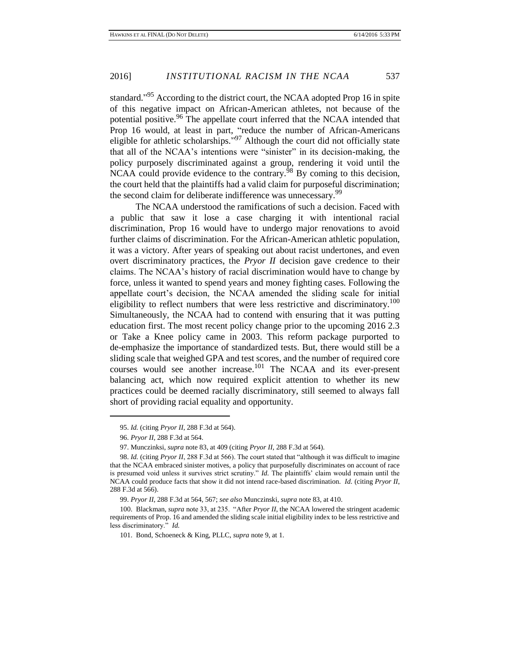standard."<sup>95</sup> According to the district court, the NCAA adopted Prop 16 in spite of this negative impact on African-American athletes, not because of the potential positive.<sup>96</sup> The appellate court inferred that the NCAA intended that Prop 16 would, at least in part, "reduce the number of African-Americans eligible for athletic scholarships."<sup>97</sup> Although the court did not officially state that all of the NCAA's intentions were "sinister" in its decision-making, the policy purposely discriminated against a group, rendering it void until the NCAA could provide evidence to the contrary. $^{98}$  By coming to this decision, the court held that the plaintiffs had a valid claim for purposeful discrimination; the second claim for deliberate indifference was unnecessary.<sup>99</sup>

The NCAA understood the ramifications of such a decision. Faced with a public that saw it lose a case charging it with intentional racial discrimination, Prop 16 would have to undergo major renovations to avoid further claims of discrimination. For the African-American athletic population, it was a victory. After years of speaking out about racist undertones, and even overt discriminatory practices, the *Pryor II* decision gave credence to their claims. The NCAA's history of racial discrimination would have to change by force, unless it wanted to spend years and money fighting cases. Following the appellate court's decision, the NCAA amended the sliding scale for initial eligibility to reflect numbers that were less restrictive and discriminatory.<sup>100</sup> Simultaneously, the NCAA had to contend with ensuring that it was putting education first. The most recent policy change prior to the upcoming 2016 2.3 or Take a Knee policy came in 2003. This reform package purported to de-emphasize the importance of standardized tests. But, there would still be a sliding scale that weighed GPA and test scores, and the number of required core courses would see another increase.<sup>101</sup> The NCAA and its ever-present balancing act, which now required explicit attention to whether its new practices could be deemed racially discriminatory, still seemed to always fall short of providing racial equality and opportunity.

<sup>95.</sup> *Id.* (citing *Pryor II*, 288 F.3d at 564).

<sup>96.</sup> *Pryor II*, 288 F.3d at 564.

<sup>97.</sup> Munczinksi, *supra* note 83, at 409 (citing *Pryor II*, 288 F.3d at 564).

<sup>98.</sup> *Id.* (citing *Pryor II*, 288 F.3d at 566). The court stated that "although it was difficult to imagine that the NCAA embraced sinister motives, a policy that purposefully discriminates on account of race is presumed void unless it survives strict scrutiny." *Id.* The plaintiffs' claim would remain until the NCAA could produce facts that show it did not intend race-based discrimination. *Id.* (citing *Pryor II*, 288 F.3d at 566).

<sup>99.</sup> *Pryor II*, 288 F.3d at 564, 567; *see also* Munczinski, *supra* note 83, at 410.

<sup>100.</sup> Blackman, *supra* note 33, at 235. "After *Pryor II*, the NCAA lowered the stringent academic requirements of Prop. 16 and amended the sliding scale initial eligibility index to be less restrictive and less discriminatory." *Id.*

<sup>101.</sup> Bond, Schoeneck & King, PLLC, *supra* note 9, at 1.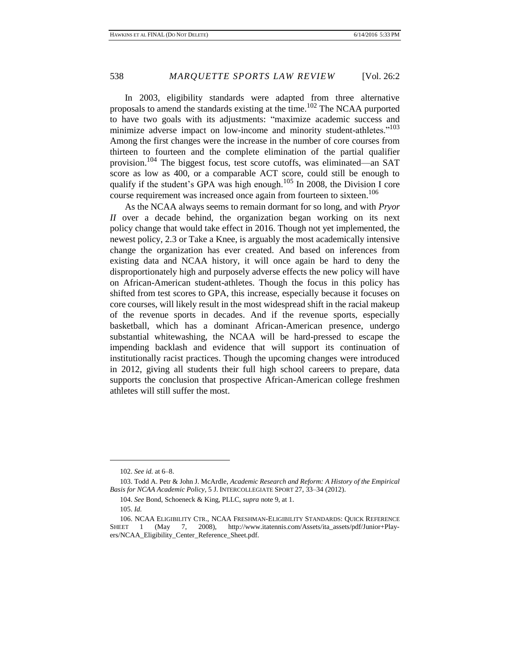In 2003, eligibility standards were adapted from three alternative proposals to amend the standards existing at the time. <sup>102</sup> The NCAA purported to have two goals with its adjustments: "maximize academic success and minimize adverse impact on low-income and minority student-athletes."<sup>103</sup> Among the first changes were the increase in the number of core courses from thirteen to fourteen and the complete elimination of the partial qualifier provision.<sup>104</sup> The biggest focus, test score cutoffs, was eliminated—an SAT score as low as 400, or a comparable ACT score, could still be enough to qualify if the student's GPA was high enough.<sup>105</sup> In 2008, the Division I core course requirement was increased once again from fourteen to sixteen. 106

As the NCAA always seems to remain dormant for so long, and with *Pryor II* over a decade behind, the organization began working on its next policy change that would take effect in 2016. Though not yet implemented, the newest policy, 2.3 or Take a Knee, is arguably the most academically intensive change the organization has ever created. And based on inferences from existing data and NCAA history, it will once again be hard to deny the disproportionately high and purposely adverse effects the new policy will have on African-American student-athletes. Though the focus in this policy has shifted from test scores to GPA, this increase, especially because it focuses on core courses, will likely result in the most widespread shift in the racial makeup of the revenue sports in decades. And if the revenue sports, especially basketball, which has a dominant African-American presence, undergo substantial whitewashing, the NCAA will be hard-pressed to escape the impending backlash and evidence that will support its continuation of institutionally racist practices. Though the upcoming changes were introduced in 2012, giving all students their full high school careers to prepare, data supports the conclusion that prospective African-American college freshmen athletes will still suffer the most.

<sup>102.</sup> *See id.* at 6–8.

<sup>103.</sup> Todd A. Petr & John J. McArdle, *Academic Research and Reform: A History of the Empirical Basis for NCAA Academic Policy*, 5 J. INTERCOLLEGIATE SPORT 27, 33–34 (2012).

<sup>104.</sup> *See* Bond, Schoeneck & King, PLLC, *supra* note 9, at 1.

<sup>105.</sup> *Id.*

<sup>106.</sup> NCAA ELIGIBILITY CTR., NCAA FRESHMAN-ELIGIBILITY STANDARDS: QUICK REFERENCE SHEET 1 (May 7, 2008), http://www.itatennis.com/Assets/ita\_assets/pdf/Junior+Players/NCAA\_Eligibility\_Center\_Reference\_Sheet.pdf.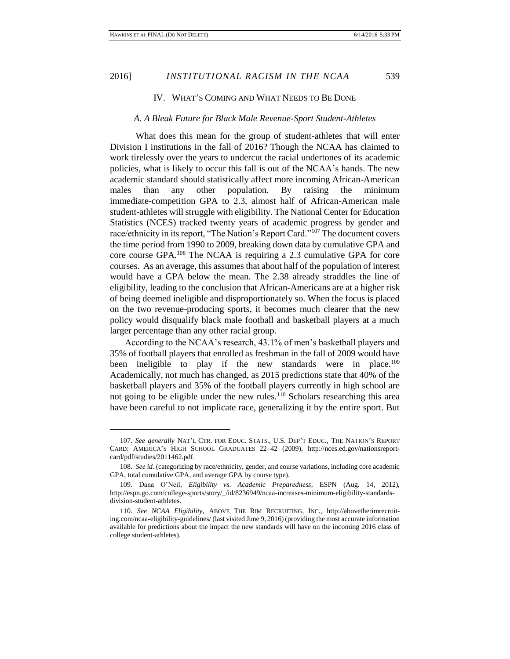$\overline{a}$ 

#### IV. WHAT'S COMING AND WHAT NEEDS TO BE DONE

#### *A. A Bleak Future for Black Male Revenue-Sport Student-Athletes*

What does this mean for the group of student-athletes that will enter Division I institutions in the fall of 2016? Though the NCAA has claimed to work tirelessly over the years to undercut the racial undertones of its academic policies, what is likely to occur this fall is out of the NCAA's hands. The new academic standard should statistically affect more incoming African-American males than any other population. By raising the minimum immediate-competition GPA to 2.3, almost half of African-American male student-athletes will struggle with eligibility. The National Center for Education Statistics (NCES) tracked twenty years of academic progress by gender and race/ethnicity in its report, "The Nation's Report Card."<sup>107</sup> The document covers the time period from 1990 to 2009, breaking down data by cumulative GPA and core course GPA.<sup>108</sup> The NCAA is requiring a 2.3 cumulative GPA for core courses. As an average, this assumes that about half of the population of interest would have a GPA below the mean. The 2.38 already straddles the line of eligibility, leading to the conclusion that African-Americans are at a higher risk of being deemed ineligible and disproportionately so. When the focus is placed on the two revenue-producing sports, it becomes much clearer that the new policy would disqualify black male football and basketball players at a much larger percentage than any other racial group.

According to the NCAA's research, 43.1% of men's basketball players and 35% of football players that enrolled as freshman in the fall of 2009 would have been ineligible to play if the new standards were in place.<sup>109</sup> Academically, not much has changed, as 2015 predictions state that 40% of the basketball players and 35% of the football players currently in high school are not going to be eligible under the new rules.<sup>110</sup> Scholars researching this area have been careful to not implicate race, generalizing it by the entire sport. But

<sup>107.</sup> *See generally* NAT'L CTR. FOR EDUC. STATS., U.S. DEP'T EDUC., THE NATION'S REPORT CARD: AMERICA'S HIGH SCHOOL GRADUATES 22–42 (2009), http://nces.ed.gov/nationsreportcard/pdf/studies/2011462.pdf.

<sup>108.</sup> *See id.* (categorizing by race/ethnicity, gender, and course variations, including core academic GPA, total cumulative GPA, and average GPA by course type).

<sup>109.</sup> Dana O'Neil, *Eligibility vs. Academic Preparedness*, ESPN (Aug. 14, 2012), http://espn.go.com/college-sports/story/\_/id/8236949/ncaa-increases-minimum-eligibility-standardsdivision-student-athletes.

<sup>110.</sup> *See NCAA Eligibility*, ABOVE THE RIM RECRUITING, INC., http://abovetherimrecruiting.com/ncaa-eligibility-guidelines/ (last visited June 9, 2016) (providing the most accurate information available for predictions about the impact the new standards will have on the incoming 2016 class of college student-athletes).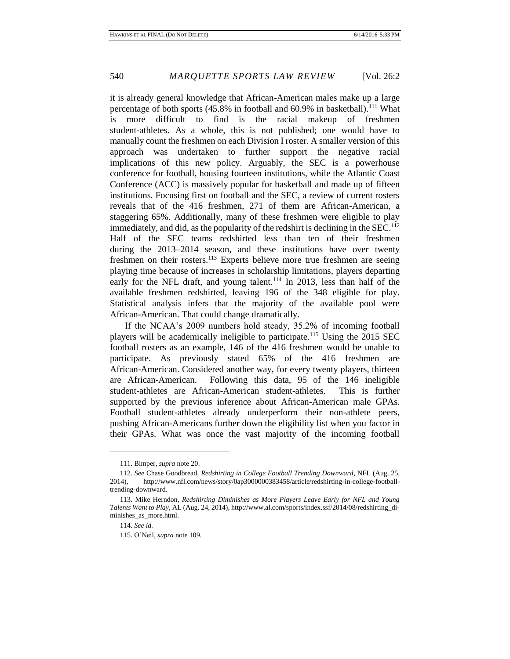it is already general knowledge that African-American males make up a large percentage of both sports  $(45.8\%$  in football and 60.9% in basketball).<sup>111</sup> What is more difficult to find is the racial makeup of freshmen student-athletes. As a whole, this is not published; one would have to manually count the freshmen on each Division I roster. A smaller version of this approach was undertaken to further support the negative racial implications of this new policy. Arguably, the SEC is a powerhouse conference for football, housing fourteen institutions, while the Atlantic Coast Conference (ACC) is massively popular for basketball and made up of fifteen institutions. Focusing first on football and the SEC, a review of current rosters reveals that of the 416 freshmen, 271 of them are African-American, a staggering 65%. Additionally, many of these freshmen were eligible to play immediately, and did, as the popularity of the redshirt is declining in the  $SEC.<sup>112</sup>$ Half of the SEC teams redshirted less than ten of their freshmen during the 2013–2014 season, and these institutions have over twenty freshmen on their rosters.<sup>113</sup> Experts believe more true freshmen are seeing playing time because of increases in scholarship limitations, players departing early for the NFL draft, and young talent.<sup>114</sup> In 2013, less than half of the available freshmen redshirted, leaving 196 of the 348 eligible for play. Statistical analysis infers that the majority of the available pool were African-American. That could change dramatically.

If the NCAA's 2009 numbers hold steady, 35.2% of incoming football players will be academically ineligible to participate.<sup>115</sup> Using the 2015 SEC football rosters as an example, 146 of the 416 freshmen would be unable to participate. As previously stated 65% of the 416 freshmen are African-American. Considered another way, for every twenty players, thirteen are African-American. Following this data, 95 of the 146 ineligible student-athletes are African-American student-athletes. This is further supported by the previous inference about African-American male GPAs. Football student-athletes already underperform their non-athlete peers, pushing African-Americans further down the eligibility list when you factor in their GPAs. What was once the vast majority of the incoming football

<sup>111.</sup> Bimper, *supra* note 20.

<sup>112.</sup> *See* Chase Goodbread, *Redshirting in College Football Trending Downward*, NFL (Aug. 25, 2014), http://www.nfl.com/news/story/0ap3000000383458/article/redshirting-in-college-footballtrending-downward.

<sup>113.</sup> Mike Herndon, *Redshirting Diminishes as More Players Leave Early for NFL and Young Talents Want to Play*, AL (Aug. 24, 2014), http://www.al.com/sports/index.ssf/2014/08/redshirting\_diminishes\_as\_more.html.

<sup>114.</sup> *See id.*

<sup>115.</sup> O'Neil, *supra* note 109.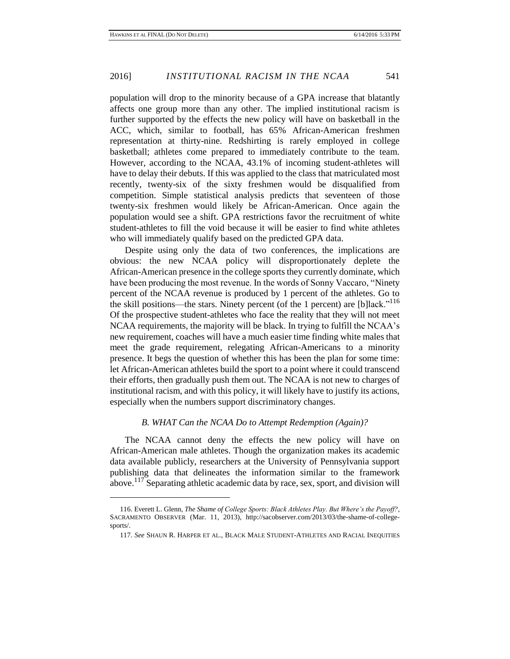population will drop to the minority because of a GPA increase that blatantly affects one group more than any other. The implied institutional racism is further supported by the effects the new policy will have on basketball in the ACC, which, similar to football, has 65% African-American freshmen representation at thirty-nine. Redshirting is rarely employed in college basketball; athletes come prepared to immediately contribute to the team. However, according to the NCAA, 43.1% of incoming student-athletes will have to delay their debuts. If this was applied to the class that matriculated most recently, twenty-six of the sixty freshmen would be disqualified from competition. Simple statistical analysis predicts that seventeen of those twenty-six freshmen would likely be African-American. Once again the population would see a shift. GPA restrictions favor the recruitment of white student-athletes to fill the void because it will be easier to find white athletes who will immediately qualify based on the predicted GPA data.

Despite using only the data of two conferences, the implications are obvious: the new NCAA policy will disproportionately deplete the African-American presence in the college sports they currently dominate, which have been producing the most revenue. In the words of Sonny Vaccaro, "Ninety percent of the NCAA revenue is produced by 1 percent of the athletes. Go to the skill positions—the stars. Ninety percent (of the 1 percent) are [b]lack."<sup>116</sup> Of the prospective student-athletes who face the reality that they will not meet NCAA requirements, the majority will be black. In trying to fulfill the NCAA's new requirement, coaches will have a much easier time finding white males that meet the grade requirement, relegating African-Americans to a minority presence. It begs the question of whether this has been the plan for some time: let African-American athletes build the sport to a point where it could transcend their efforts, then gradually push them out. The NCAA is not new to charges of institutional racism, and with this policy, it will likely have to justify its actions, especially when the numbers support discriminatory changes.

#### *B. WHAT Can the NCAA Do to Attempt Redemption (Again)?*

The NCAA cannot deny the effects the new policy will have on African-American male athletes. Though the organization makes its academic data available publicly, researchers at the University of Pennsylvania support publishing data that delineates the information similar to the framework above.<sup>117</sup> Separating athletic academic data by race, sex, sport, and division will

<sup>116.</sup> Everett L. Glenn, *The Shame of College Sports: Black Athletes Play. But Where's the Payoff?*, SACRAMENTO OBSERVER (Mar. 11, 2013), http://sacobserver.com/2013/03/the-shame-of-collegesports/.

<sup>117.</sup> *See* SHAUN R. HARPER ET AL., BLACK MALE STUDENT-ATHLETES AND RACIAL INEQUITIES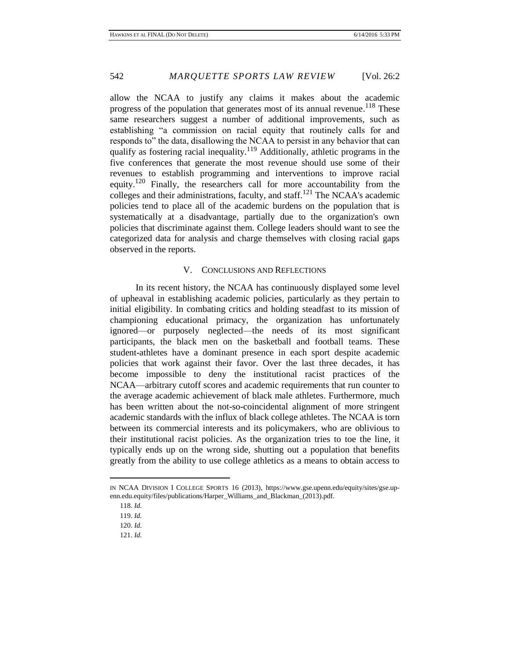allow the NCAA to justify any claims it makes about the academic progress of the population that generates most of its annual revenue.<sup>118</sup> These same researchers suggest a number of additional improvements, such as establishing "a commission on racial equity that routinely calls for and responds to" the data, disallowing the NCAA to persist in any behavior that can qualify as fostering racial inequality.<sup>119</sup> Additionally, athletic programs in the five conferences that generate the most revenue should use some of their revenues to establish programming and interventions to improve racial equity.<sup>120</sup> Finally, the researchers call for more accountability from the colleges and their administrations, faculty, and staff.<sup>121</sup> The NCAA's academic policies tend to place all of the academic burdens on the population that is systematically at a disadvantage, partially due to the organization's own policies that discriminate against them. College leaders should want to see the categorized data for analysis and charge themselves with closing racial gaps observed in the reports.

#### V. CONCLUSIONS AND REFLECTIONS

In its recent history, the NCAA has continuously displayed some level of upheaval in establishing academic policies, particularly as they pertain to initial eligibility. In combating critics and holding steadfast to its mission of championing educational primacy, the organization has unfortunately ignored—or purposely neglected—the needs of its most significant participants, the black men on the basketball and football teams. These student-athletes have a dominant presence in each sport despite academic policies that work against their favor. Over the last three decades, it has become impossible to deny the institutional racist practices of the NCAA—arbitrary cutoff scores and academic requirements that run counter to the average academic achievement of black male athletes. Furthermore, much has been written about the not-so-coincidental alignment of more stringent academic standards with the influx of black college athletes. The NCAA is torn between its commercial interests and its policymakers, who are oblivious to their institutional racist policies. As the organization tries to toe the line, it typically ends up on the wrong side, shutting out a population that benefits greatly from the ability to use college athletics as a means to obtain access to

IN NCAA DIVISION I COLLEGE SPORTS 16 (2013), https://www.gse.upenn.edu/equity/sites/gse.upenn.edu.equity/files/publications/Harper\_Williams\_and\_Blackman\_(2013).pdf.

<sup>118.</sup> *Id.*

<sup>119.</sup> *Id.*

<sup>120.</sup> *Id.*

<sup>121.</sup> *Id.*